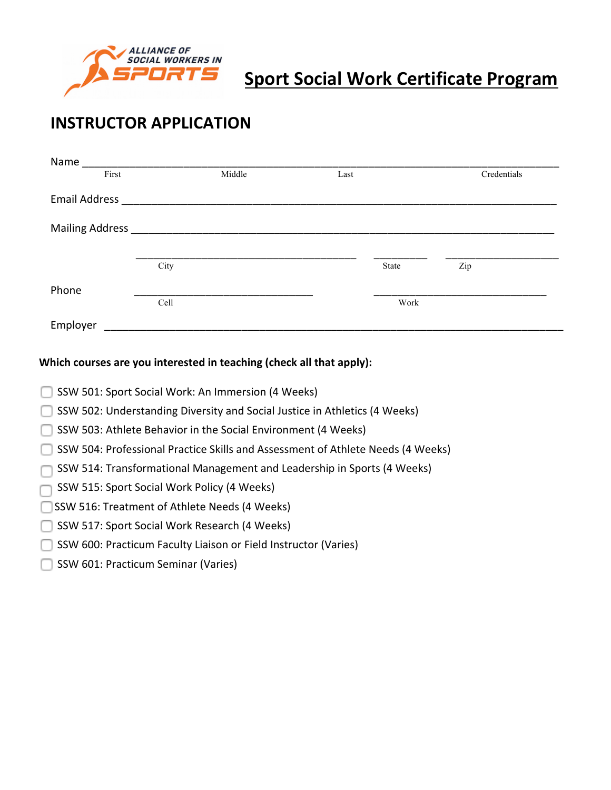

# **Sport Social Work Certificate Program**

## **INSTRUCTOR APPLICATION**

| Name                 |      |        |      |       |             |
|----------------------|------|--------|------|-------|-------------|
| First                |      | Middle | Last |       | Credentials |
| <b>Email Address</b> |      |        |      |       |             |
| Mailing Address _    |      |        |      |       |             |
|                      | City |        |      | State | Zip         |
| Phone                | Cell |        |      | Work  |             |
| Employer             |      |        |      |       |             |

#### Which courses are you interested in teaching (check all that apply):

- SSW 501: Sport Social Work: An Immersion (4 Weeks)
- SSW 502: Understanding Diversity and Social Justice in Athletics (4 Weeks)
- $\Box$  SSW 503: Athlete Behavior in the Social Environment (4 Weeks)
- SSW 504: Professional Practice Skills and Assessment of Athlete Needs (4 Weeks)
- SSW 514: Transformational Management and Leadership in Sports (4 Weeks)
- SSW 515: Sport Social Work Policy (4 Weeks)
- SSW 516: Treatment of Athlete Needs (4 Weeks)
- SSW 517: Sport Social Work Research (4 Weeks)
- SSW 600: Practicum Faculty Liaison or Field Instructor (Varies)
- SSW 601: Practicum Seminar (Varies)